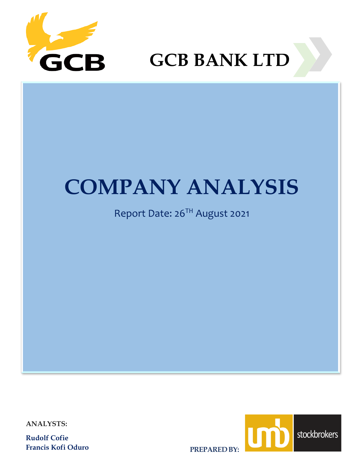

**GCB BANK LTD**

# **COMPANY ANALYSIS** Report Date: 26TH August 2021 **COMPANY ANALYSIS**

# Report Date: 26TH August 2021

**ANALYSTS:**

**Rudolf Cofie Francis Kofi Oduro**



**PREPARED BY:**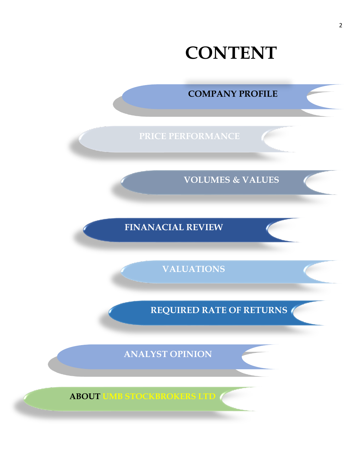

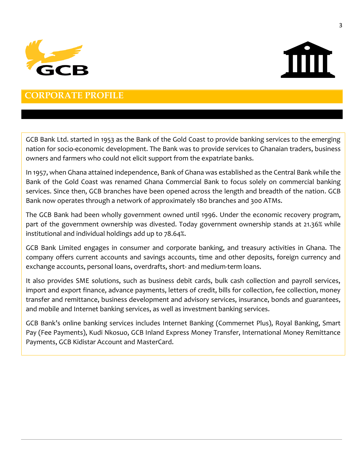



### **CORPORATE PROFILE**

GCB Bank Ltd. started in 1953 as the Bank of the Gold Coast to provide banking services to the emerging nation for socio-economic development. The Bank was to provide services to Ghanaian traders, business owners and farmers who could not elicit support from the expatriate banks.

In 1957, when Ghana attained independence, Bank of Ghana was established as the Central Bank while the Bank of the Gold Coast was renamed Ghana Commercial Bank to focus solely on commercial banking services. Since then, GCB branches have been opened across the length and breadth of the nation. GCB Bank now operates through a network of approximately 180 branches and 300 ATMs.

The GCB Bank had been wholly government owned until 1996. Under the economic recovery program, part of the government ownership was divested. Today government ownership stands at 21.36% while institutional and individual holdings add up to 78.64%.

GCB Bank Limited engages in consumer and corporate banking, and treasury activities in Ghana. The company offers current accounts and savings accounts, time and other deposits, foreign currency and exchange accounts, personal loans, overdrafts, short- and medium-term loans.

It also provides SME solutions, such as business debit cards, bulk cash collection and payroll services, import and export finance, advance payments, letters of credit, bills for collection, fee collection, money transfer and remittance, business development and advisory services, insurance, bonds and guarantees, and mobile and Internet banking services, as well as investment banking services.

GCB Bank's online banking services includes Internet Banking (Commernet Plus), Royal Banking, Smart Pay (Fee Payments), Kudi Nkosuo, GCB Inland Express Money Transfer, International Money Remittance Payments, GCB Kidistar Account and MasterCard.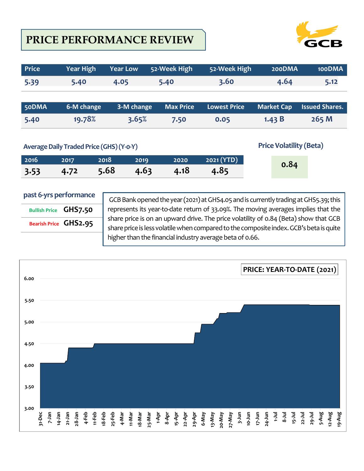# **PRICE PERFORMANCE REVIEW**



| <b>Price</b> | <b>Year High</b>                         | <b>Year Low</b> | 52-Week High     | 52-Week High        | 200DMA                         | 100DMA                |
|--------------|------------------------------------------|-----------------|------------------|---------------------|--------------------------------|-----------------------|
| 5.39         | 5.40                                     | 4.05            | 5.40             | 3.60                | 4.64                           | 5.12                  |
|              |                                          |                 |                  |                     |                                |                       |
| 50DMA        | 6-M change                               | 3-M change      | <b>Max Price</b> | <b>Lowest Price</b> | <b>Market Cap</b>              | <b>Issued Shares.</b> |
| 5.40         | 19.78%                                   | 3.65%           | 7.50             | 0.05                | 1.43 $B$                       | 265 M                 |
|              |                                          |                 |                  |                     |                                |                       |
|              | Average Daily Traded Price (GHS) (Y-o-Y) |                 |                  |                     | <b>Price Volatility (Beta)</b> |                       |

| 2016 | 2017 |                                           | 2018 2019 2020 2021 (YTD) | 0.84 |
|------|------|-------------------------------------------|---------------------------|------|
|      |      | $3.53$ $4.72$ $5.68$ $4.63$ $4.18$ $4.85$ |                           |      |

### **past 6-yrs performance**

| <b>Bullish Price GHS7.50</b> |                       |
|------------------------------|-----------------------|
|                              | Bearish Price GHS2.95 |
|                              |                       |

GCB Bank opened the year (2021) at GHS4.05 and is currently trading at GHS5.39; this represents its year-to-date return of 33.09%. The moving averages implies that the share price is on an upward drive. The price volatility of 0.84 (Beta) show that GCB share price is less volatile when compared to the composite index. GCB's beta is quite higher than the financial industry average beta of 0.66.

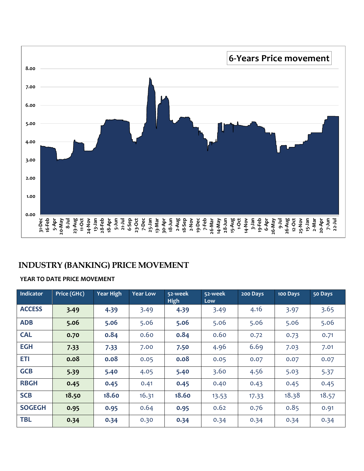

### **INDUSTRY (BANKING) PRICE MOVEMENT**

### **YEAR TO DATE PRICE MOVEMENT**

| Indicator     | Price (GH¢) | <b>Year High</b> | <b>Year Low</b> | 52-week<br><b>High</b> | 52-week<br>Low | 200 Days | 100 Days | 50 Days |
|---------------|-------------|------------------|-----------------|------------------------|----------------|----------|----------|---------|
| <b>ACCESS</b> | 3.49        | 4.39             | 3.49            | 4.39                   | 3.49           | 4.16     | 3.97     | 3.65    |
| <b>ADB</b>    | 5.06        | 5.06             | 5.06            | 5.06                   | 5.06           | 5.06     | 5.06     | 5.06    |
| <b>CAL</b>    | 0.70        | 0.84             | 0.60            | 0.84                   | 0.60           | 0.72     | 0.73     | 0.71    |
| <b>EGH</b>    | 7.33        | 7.33             | 7.00            | 7.50                   | 4.96           | 6.69     | 7.03     | 7.01    |
| <b>ETI</b>    | 0.08        | 0.08             | 0.05            | 0.08                   | 0.05           | 0.07     | 0.07     | 0.07    |
| <b>GCB</b>    | 5.39        | 5.40             | 4.05            | 5.40                   | 3.60           | 4.56     | 5.03     | 5.37    |
| <b>RBGH</b>   | 0.45        | 0.45             | 0.41            | 0.45                   | 0.40           | 0.43     | 0.45     | 0.45    |
| <b>SCB</b>    | 18.50       | 18.60            | 16.31           | 18.60                  | 13.53          | 17.33    | 18.38    | 18.57   |
| <b>SOGEGH</b> | 0.95        | 0.95             | 0.64            | 0.95                   | 0.62           | 0.76     | 0.85     | 0.91    |
| <b>TBL</b>    | 0.34        | 0.34             | 0.30            | 0.34                   | 0.34           | 0.34     | 0.34     | 0.34    |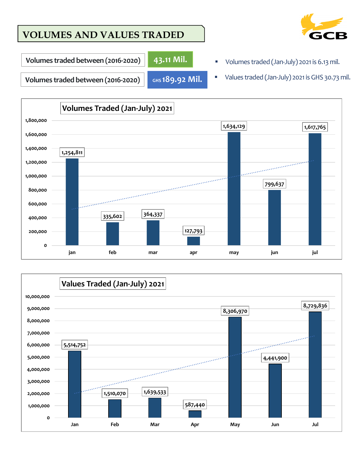# **VOLUMES AND VALUES TRADED**



**-2020) 43.11 Mil.**

- **Volumes traded between (2016-2020) | 43.11 Mil. IMPLEM THE Volumes traded (Jan-July) 2021 is 6.13 mil.**
- 

**GHS 189.92 Mil.**

Volumes traded between (2016-2020) **ars 189.92 Mil.** University Maked (Jan-July) 2021 is GHS 30.73 mil.



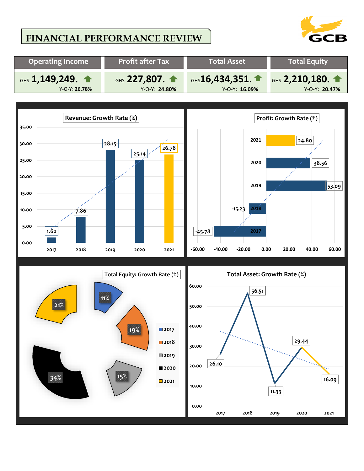# **FINANCIAL PERFORMANCE REVIEW**



7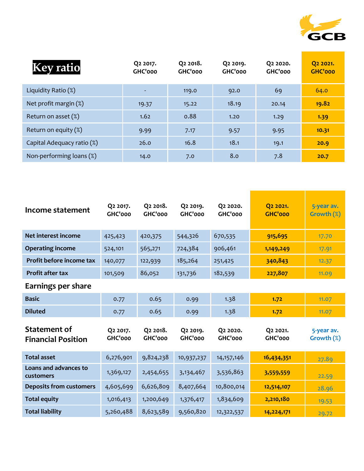

| <b>Key ratio</b>           | Q <sub>2</sub> 2017.<br>GHC'000 | Q <sub>2</sub> 2018.<br>GHC'000 | Q <sub>2</sub> 2019.<br>GHC'000 | Q <sub>2</sub> 20 <sub>20</sub> .<br>GHC'000 | Q <sub>2</sub> 20 <sub>21</sub> .<br><b>GHC'000</b> |
|----------------------------|---------------------------------|---------------------------------|---------------------------------|----------------------------------------------|-----------------------------------------------------|
| Liquidity Ratio $(\%)$     |                                 | 119.0                           | 92.0                            | 69                                           | 64.0                                                |
| Net profit margin (%)      | 19.37                           | 15.22                           | 18.19                           | 20.14                                        | 19.82                                               |
| Return on asset $(\%)$     | 1.62                            | 0.88                            | 1.20                            | 1.29                                         | 1.39                                                |
| Return on equity $(\%)$    | 9.99                            | 7.17                            | 9.57                            | 9.95                                         | 10.31                                               |
| Capital Adequacy ratio (%) | 26.0                            | 16.8                            | 18.1                            | 19.1                                         | 20.9                                                |
| Non-performing loans (%)   | 14.0                            | 7.0                             | 8.0                             | 7.8                                          | 20.7                                                |

| Income statement                                 | Q2 2017.<br>GHC'000 | Q2 2018.<br>GHC'000 | Q2 2019.<br>GHC'000 | Q2 2020.<br>GHC'000 | Q2 2021.<br><b>GHC'000</b> | 5-year av.<br>Growth (%) |
|--------------------------------------------------|---------------------|---------------------|---------------------|---------------------|----------------------------|--------------------------|
| Net interest income                              | 425,423             | 420,375             | 544,326             | 670,535             | 915,695                    | 17.70                    |
| <b>Operating income</b>                          | 524,101             | 565,271             | 724,384             | 906,461             | 1,149,249                  | 17.91                    |
| Profit before income tax                         | 140,077             | 122,939             | 185,264             | 251,425             | 340,843                    | 12.37                    |
| <b>Profit after tax</b>                          | 101,509             | 86,052              | 131,736             | 182,539             | 227,807                    | 11.09                    |
| Earnings per share                               |                     |                     |                     |                     |                            |                          |
| <b>Basic</b>                                     | 0.77                | 0.65                | 0.99                | 1.38                | 1.72                       | 11.07                    |
| <b>Diluted</b>                                   | 0.77                | 0.65                | 0.99                | 1.38                | 1.72                       | 11.07                    |
| <b>Statement of</b><br><b>Financial Position</b> | Q2 2017.<br>GHC'000 | Q2 2018.<br>GHC'000 | Q2 2019.<br>GHC'000 | Q2 2020.<br>GHC'000 | Q2 2021.<br>GHC'000        | 5-year av.<br>Growth (%) |
| <b>Total asset</b>                               | 6,276,901           | 9,824,238           | 10,937,237          | 14, 157, 146        | 16,434,351                 | 27.89                    |
| Loans and advances to<br>customers               | 1,369,127           | 2,454,655           | 3,134,467           | 3,536,863           | 3,559,559                  | 22.59                    |
| <b>Deposits from customers</b>                   | 4,605,699           | 6,626,809           | 8,407,664           | 10,800,014          | 12,514,107                 | 28.96                    |
| <b>Total equity</b>                              | 1,016,413           | 1,200,649           | 1,376,417           | 1,834,609           | 2,210,180                  | 19.53                    |
| <b>Total liability</b>                           | 5,260,488           | 8,623,589           | 9,560,820           | 12,322,537          | 14,224,171                 | 29.72                    |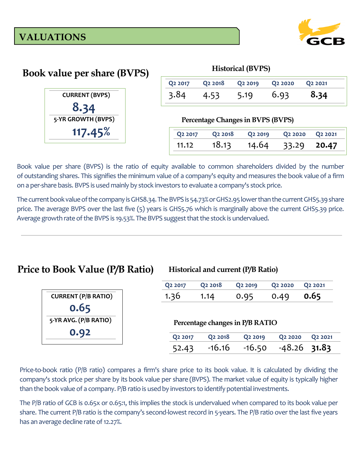

| <b>Book value per share (BVPS)</b> | <b>Historical (BVPS)</b> |                                   |                     |                                 |                                 |  |
|------------------------------------|--------------------------|-----------------------------------|---------------------|---------------------------------|---------------------------------|--|
|                                    | Q <sub>2</sub> 2017      | Q <sub>2</sub> 2018               | Q <sub>2</sub> 2019 | Q <sub>2</sub> 20 <sub>20</sub> | Q2 2021                         |  |
| <b>CURRENT (BVPS)</b>              | 3.84                     | 4.53                              | 5.19                | 6.93                            | 8.34                            |  |
| 8.34<br>5-YR GROWTH (BVPS)         |                          | Percentage Changes in BVPS (BVPS) |                     |                                 |                                 |  |
| 117.45%                            | Q <sub>2</sub> 2017      | Q <sub>2</sub> 2018               | Q <sub>2</sub> 2019 | Q <sub>2</sub> 20 <sub>20</sub> | Q <sub>2</sub> 20 <sub>21</sub> |  |
|                                    | 11.12                    | 18.13                             | 14.64               | 33.29                           | 20.47                           |  |

Book value per share (BVPS) is the ratio of equity available to common shareholders divided by the number of [outstanding shares.](https://www.investopedia.com/terms/o/outstandingshares.asp) This signifies the minimum value of a company's equity and measures the [book value](https://www.investopedia.com/terms/b/bookvalue.asp) of a firm on a per-share basis. BVPS is used mainly by stock investors to evaluate a company's stock price.

The current book value of the company is GHS8.34. The BVPS is 54.73% or GHS2.95 lower than the current GHS5.39 share price. The average BVPS over the last five (5) years is GHS5.76 which is marginally above the current GHS5.39 price. Average growth rate of the BVPS is 19.53%. The BVPS suggest that the stock is undervalued.

## **Price to Book Value (P/B Ratio)**

### **Historical and current (P/B Ratio)**

|                            | Q <sub>2</sub> 2017 | Q <sub>2</sub> 2018 | Q <sub>2</sub> 2019             | Q <sub>2</sub> 20 <sub>20</sub> | Q <sub>2</sub> 20 <sub>21</sub> |
|----------------------------|---------------------|---------------------|---------------------------------|---------------------------------|---------------------------------|
| <b>CURRENT (P/B RATIO)</b> | 1.36                | 1.14                | 0.95                            | 0.49                            | 0.65                            |
| 0.65                       |                     |                     |                                 |                                 |                                 |
| 5-YR AVG. (P/B RATIO)      |                     |                     | Percentage changes in P/B RATIO |                                 |                                 |
| 0.92                       | Q <sub>2</sub> 2017 | Q <sub>2</sub> 2018 | Q <sub>2</sub> 2019             | Q <sub>2</sub> 20 <sub>20</sub> | Q2 2021                         |
|                            | 52.43               | $-16.16$            | $-16.50$                        | $-48.26$                        | 31.83                           |

Price-to-book ratio (P/B ratio) compares a firm's share price to its book value. It is calculated by dividing the company's stock price per share by its [book value per share](https://www.investopedia.com/terms/b/bookvaluepercommon.asp) (BVPS). The market value of equity is typically higher than the book value of a company. P/B ratio is used by investors to identify potential investments.

The P/B ratio of GCB is 0.65x or 0.65:1, this implies the stock is undervalued when compared to its book value per share. The current P/B ratio is the company's second-lowest record in 5-years. The P/B ratio over the last five years has an average decline rate of 12.27%.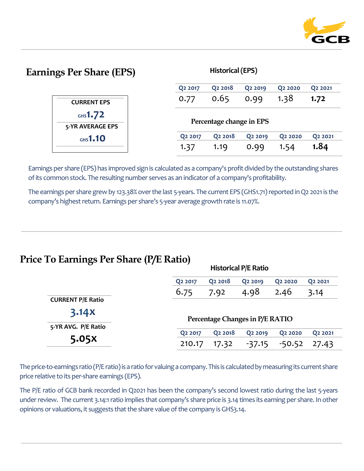

# **Earnings Per Share (EPS) Historical (EPS)**

**Historical P/E Ratio**

|                                | Q <sub>2</sub> 2017 | Q <sub>2</sub> 2018      | Q <sub>2</sub> 2019 | Q <sub>2</sub> 20 <sub>20</sub> | Q2 2021 |
|--------------------------------|---------------------|--------------------------|---------------------|---------------------------------|---------|
| <b>CURRENT EPS</b>             | 0.77                | 0.65                     | 0.99                | 1.38                            | 1.72    |
| $GHS}1.72$<br>5-YR AVERAGE EPS |                     | Percentage change in EPS |                     |                                 |         |
| $GHS}1.10$                     | Q <sub>2</sub> 2017 | Q <sub>2</sub> 2018      | Q <sub>2</sub> 2019 | Q <sub>2</sub> 20 <sub>20</sub> | Q2 2021 |
|                                | 1.37                | 1.19                     | 0.99                | 1.54                            | 1.84    |

Earnings per share (EPS) has improved sign is calculated as a company's profit divided by the outstanding shares of its common stock. The resulting number serves as an indicator of a company's profitability.

The earnings per share grew by 123.38% over the last 5-years. The current EPS (GHS1.71) reported in Q2 2021 is the company's highest return. Earnings per share's 5-year average growth rate is 11.07%.

# **Price To Earnings Per Share (P/E Ratio)**

|                          | Historical P/E Ratio |                     |                                 |                                 |                                 |  |  |
|--------------------------|----------------------|---------------------|---------------------------------|---------------------------------|---------------------------------|--|--|
|                          | Q <sub>2</sub> 2017  | Q <sub>2</sub> 2018 | Q <sub>2</sub> 2019             | Q <sub>2</sub> 20 <sub>20</sub> | Q <sub>2</sub> 20 <sub>21</sub> |  |  |
|                          | 6.75                 | 7.92                | 4.98                            | 2.46                            | 3.14                            |  |  |
| <b>CURRENT P/E Ratio</b> |                      |                     |                                 |                                 |                                 |  |  |
| 3.14X                    |                      |                     | Percentage Changes in P/E RATIO |                                 |                                 |  |  |
| 5-YR AVG. P/E Ratio      |                      |                     |                                 |                                 |                                 |  |  |
|                          | Q <sub>2</sub> 2017  | Q <sub>2</sub> 2018 | Q <sub>2</sub> 2019             | Q <sub>2</sub> 20 <sub>20</sub> | Q <sub>2</sub> 20 <sub>21</sub> |  |  |
| 5.05X                    | 210.17               | 17.32               | $-37.15$                        | $-50.52$                        | 27.43                           |  |  |

The price-to-earnings ratio (P/E ratio) is a ratio for valuing a company. This is calculated by measuring its current share price relative to its per-share earnings [\(EPS\)](https://www.investopedia.com/terms/e/eps.asp).

The P/E ratio of GCB bank recorded in Q2021 has been the company's second lowest ratio during the last 5-years under review. The current 3.14:1 ratio implies that company's share price is 3.14 times its earning per share. In other opinions or valuations, it suggests that the share value of the company is GHS3.14.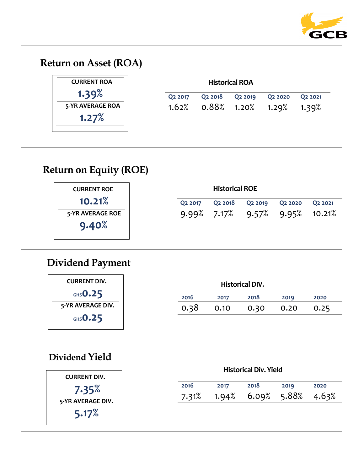

# **Return on Asset (ROA)**

| <b>CURRENT ROA</b> | <b>Historical ROA</b> |                     |                      |                                 |                                 |  |  |  |
|--------------------|-----------------------|---------------------|----------------------|---------------------------------|---------------------------------|--|--|--|
| 1.39%              | Q <sub>2</sub> 2017   | Q <sub>2</sub> 2018 | Q <sub>2</sub> 2019  | Q <sub>2</sub> 20 <sub>20</sub> | Q <sub>2</sub> 20 <sub>21</sub> |  |  |  |
| 5-YR AVERAGE ROA   | 1.62%                 |                     | $0.88\%$ 1.20% 1.29% |                                 | 1.39%                           |  |  |  |
| 1.27%              |                       |                     |                      |                                 |                                 |  |  |  |
|                    |                       |                     |                      |                                 |                                 |  |  |  |

# **Return on Equity (ROE)**

| <b>CURRENT ROE</b> |                     | <b>Historical ROE</b> |                     |                                 |                                 |
|--------------------|---------------------|-----------------------|---------------------|---------------------------------|---------------------------------|
| 10.21%             | Q <sub>2</sub> 2017 | Q <sub>2</sub> 2018   | Q <sub>2</sub> 2019 | Q <sub>2</sub> 20 <sub>20</sub> | Q <sub>2</sub> 20 <sub>21</sub> |
| 5-YR AVERAGE ROE   |                     | $9.99\%$ 7.17%        | 9.57%               | 9.95%                           | 10.21%                          |
| 9.40%              |                     |                       |                     |                                 |                                 |

# **Dividend Payment**



| <b>Historical DIV.</b> |      |      |      |      |  |  |  |
|------------------------|------|------|------|------|--|--|--|
| 2016                   | 2017 | 2018 | 2019 | 2020 |  |  |  |
| 0.38                   | 0.10 | 0.30 | 0.20 | 0.25 |  |  |  |

# **Dividend Yield**



### **Historical Div. Yield**

| 2016  | 2017 | 2018                    | 2019 | 2020 |
|-------|------|-------------------------|------|------|
| 7.31% |      | 1.94% 6.09% 5.88% 4.63% |      |      |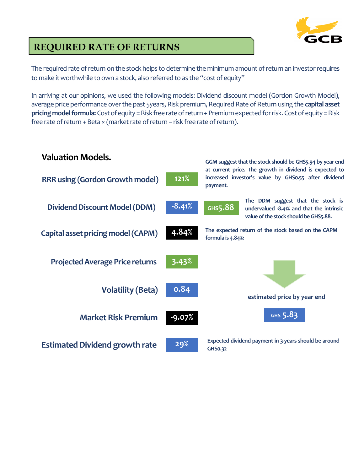

# **REQUIRED RATE OF RETURNS**

The required rate of return on the stock helps to determine the minimum amount of return an investor requires to make it worthwhile to own a stock, also referred to as the "cost of equity"

In arriving at our opinions, we used the following models: Dividend discount model (Gordon Growth Model), average price performance over the past 5years, Risk premium, Required Rate of Return using the capital asset **pricing model formula:** Cost of equity = Risk free rate of return + Premium expected for risk. Cost of equity = Risk free rate of return + Beta × (market rate of return – risk free rate of return).

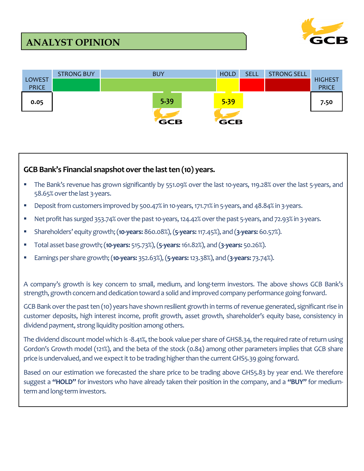# **ANALYST OPINION**





### **GCB Bank's Financial snapshot over the last ten (10) years.**

- The Bank's revenue has grown significantly by 551.09% over the last 10-years, 119.28% over the last 5-years, and 58.65% over the last 3-years.
- Deposit from customers improved by 500.47% in 10-years, 171.71% in 5-years, and 48.84% in 3-years.
- Net profit has surged 353.74% over the past 10-years, 124.42% over the past 5-years, and 72.93% in 3-years.
- Shareholders' equity growth; (**10-years:** 860.08%), (**5-years:**117.45%), and (**3-years:** 60.57%).
- Total asset base growth; (**10-years:** 515.73%), (**5-years:**161.82%), and (**3-years:** 50.26%).
- Earnings per share growth; (**10-years:** 352.63%), (**5-years:**123.38%), and (**3-years:** 73.74%).

A company's growth is key concern to small, medium, and long-term investors. The above shows GCB Bank's strength, growth concern and dedication toward a solid and improved company performance going forward.

GCB Bank over the past ten (10) years have shown resilient growth in terms of revenue generated, significant rise in customer deposits, high interest income, profit growth, asset growth, shareholder's equity base, consistency in dividend payment, strong liquidity position among others.

The dividend discount model which is -8.41%, the book value per share of GHS8.34, the required rate of return using Gordon's Growth model (121%), and the beta of the stock (0.84) among other parameters implies that GCB share price is undervalued, and we expect it to be trading higher than the current GHS5.39 going forward.

Based on our estimation we forecasted the share price to be trading above GHS5.83 by year end. We therefore suggest a **"HOLD"** for investors who have already taken their position in the company, and a **"BUY"** for mediumterm and long-term investors.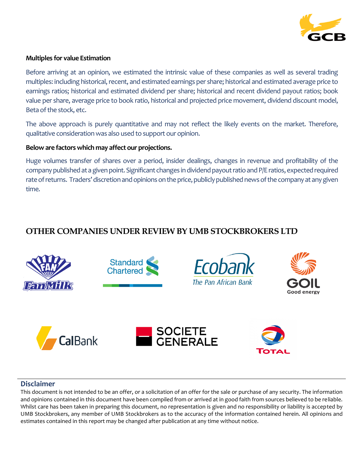

### **Multiples for value Estimation**

Before arriving at an opinion, we estimated the intrinsic value of these companies as well as several trading multiples: including historical, recent, and estimated earnings per share; historical and estimated average price to earnings ratios; historical and estimated dividend per share; historical and recent dividend payout ratios; book value per share, average price to book ratio, historical and projected price movement, dividend discount model, Beta of the stock, etc.

The above approach is purely quantitative and may not reflect the likely events on the market. Therefore, qualitative consideration was also used to support our opinion.

### **Below are factors which may affect our projections.**

Huge volumes transfer of shares over a period, insider dealings, changes in revenue and profitability of the company published at a given point. Significant changes in dividend payout ratio and P/E ratios, expected required rate of returns. Traders' discretion and opinions on the price, publicly published news of the company at any given time.

### **OTHER COMPANIES UNDER REVIEW BY UMB STOCKBROKERS LTD**



### **Disclaimer**

This document is not intended to be an offer, or a solicitation of an offer for the sale or purchase of any security. The information and opinions contained in this document have been compiled from or arrived at in good faith from sources believed to be reliable. Whilst care has been taken in preparing this document, no representation is given and no responsibility or liability is accepted by UMB Stockbrokers, any member of UMB Stockbrokers as to the accuracy of the information contained herein. All opinions and estimates contained in this report may be changed after publication at any time without notice.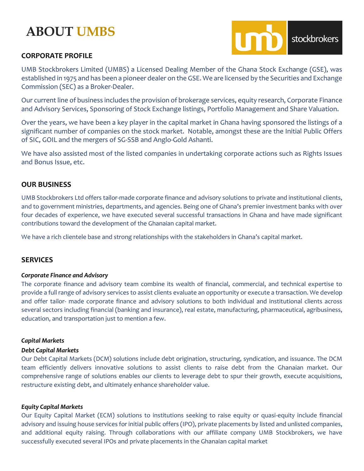# **ABOUT UMBS**

### **CORPORATE PROFILE**



UMB Stockbrokers Limited (UMBS) a Licensed Dealing Member of the Ghana Stock Exchange (GSE), was established in 1975 and has been a pioneer dealer on the GSE. We are licensed by the Securities and Exchange Commission (SEC) as a Broker-Dealer.

Our current line of business includes the provision of brokerage services, equity research, Corporate Finance and Advisory Services, Sponsoring of Stock Exchange listings, Portfolio Management and Share Valuation.

Over the years, we have been a key player in the capital market in Ghana having sponsored the listings of a significant number of companies on the stock market. Notable, amongst these are the Initial Public Offers of SIC, GOIL and the mergers of SG-SSB and Anglo-Gold Ashanti.

We have also assisted most of the listed companies in undertaking corporate actions such as Rights Issues and Bonus Issue, etc.

### **OUR BUSINESS**

UMB Stockbrokers Ltd offers tailor-made corporate finance and advisory solutions to private and institutional clients, and to government ministries, departments, and agencies. Being one of Ghana's premier investment banks with over four decades of experience, we have executed several successful transactions in Ghana and have made significant contributions toward the development of the Ghanaian capital market.

We have a rich clientele base and strong relationships with the stakeholders in Ghana's capital market.

### **SERVICES**

### *Corporate Finance and Advisory*

The corporate finance and advisory team combine its wealth of financial, commercial, and technical expertise to provide a full range of advisory services to assist clients evaluate an opportunity or execute a transaction. We develop and offer tailor- made corporate finance and advisory solutions to both individual and institutional clients across several sectors including financial (banking and insurance), real estate, manufacturing, pharmaceutical, agribusiness, education, and transportation just to mention a few.

### *Capital Markets*

### *Debt Capital Markets*

Our Debt Capital Markets (DCM) solutions include debt origination, structuring, syndication, and issuance. The DCM team efficiently delivers innovative solutions to assist clients to raise debt from the Ghanaian market. Our comprehensive range of solutions enables our clients to leverage debt to spur their growth, execute acquisitions, restructure existing debt, and ultimately enhance shareholder value.

### *Equity Capital Markets*

Our Equity Capital Market (ECM) solutions to institutions seeking to raise equity or quasi-equity include financial advisory and issuing house services for initial public offers (IPO), private placements by listed and unlisted companies, and additional equity raising. Through collaborations with our affiliate company UMB Stockbrokers, we have successfully executed several IPOs and private placements in the Ghanaian capital market